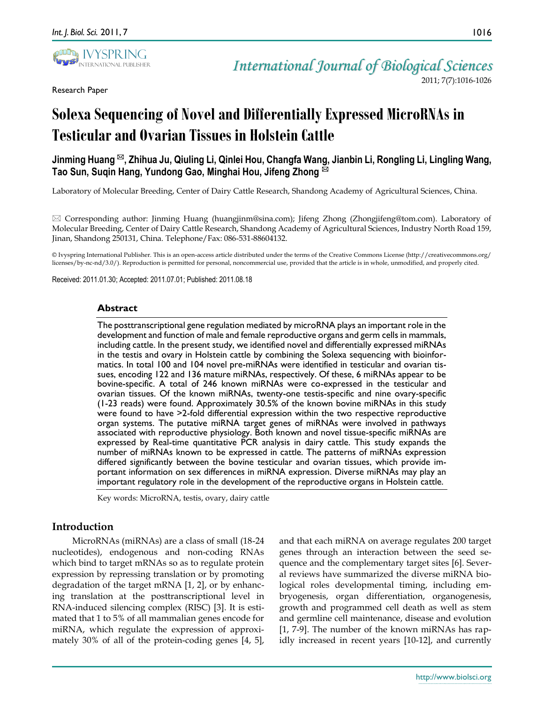

*International Journal of Biological Sciences* 2011; 7(7):1016-1026

Research Paper

# **Solexa Sequencing of Novel and Differentially Expressed MicroRNAs in Testicular and Ovarian Tissues in Holstein Cattle**

**Jinming Huang , Zhihua Ju, Qiuling Li, Qinlei Hou, Changfa Wang, Jianbin Li, Rongling Li, Lingling Wang, Tao Sun, Suqin Hang, Yundong Gao, Minghai Hou, Jifeng Zhong**

Laboratory of Molecular Breeding, Center of Dairy Cattle Research, Shandong Academy of Agricultural Sciences, China.

 Corresponding author: Jinming Huang (huangjinm@sina.com); Jifeng Zhong (Zhongjifeng@tom.com). Laboratory of Molecular Breeding, Center of Dairy Cattle Research, Shandong Academy of Agricultural Sciences, Industry North Road 159, Jinan, Shandong 250131, China. Telephone/Fax: 086-531-88604132.

© Ivyspring International Publisher. This is an open-access article distributed under the terms of the Creative Commons License (http://creativecommons.org/ licenses/by-nc-nd/3.0/). Reproduction is permitted for personal, noncommercial use, provided that the article is in whole, unmodified, and properly cited.

Received: 2011.01.30; Accepted: 2011.07.01; Published: 2011.08.18

#### **Abstract**

The posttranscriptional gene regulation mediated by microRNA plays an important role in the development and function of male and female reproductive organs and germ cells in mammals, including cattle. In the present study, we identified novel and differentially expressed miRNAs in the testis and ovary in Holstein cattle by combining the Solexa sequencing with bioinformatics. In total 100 and 104 novel pre-miRNAs were identified in testicular and ovarian tissues, encoding 122 and 136 mature miRNAs, respectively. Of these, 6 miRNAs appear to be bovine-specific. A total of 246 known miRNAs were co-expressed in the testicular and ovarian tissues. Of the known miRNAs, twenty-one testis-specific and nine ovary-specific (1-23 reads) were found. Approximately 30.5% of the known bovine miRNAs in this study were found to have >2-fold differential expression within the two respective reproductive organ systems. The putative miRNA target genes of miRNAs were involved in pathways associated with reproductive physiology. Both known and novel tissue-specific miRNAs are expressed by Real-time quantitative PCR analysis in dairy cattle. This study expands the number of miRNAs known to be expressed in cattle. The patterns of miRNAs expression differed significantly between the bovine testicular and ovarian tissues, which provide important information on sex differences in miRNA expression. Diverse miRNAs may play an important regulatory role in the development of the reproductive organs in Holstein cattle.

Key words: MicroRNA, testis, ovary, dairy cattle

## **Introduction**

MicroRNAs (miRNAs) are a class of small (18-24 nucleotides), endogenous and non-coding RNAs which bind to target mRNAs so as to regulate protein expression by repressing translation or by promoting degradation of the target mRNA [1, 2], or by enhancing translation at the posttranscriptional level in RNA-induced silencing complex (RISC) [3]. It is estimated that 1 to 5% of all mammalian genes encode for miRNA, which regulate the expression of approximately 30% of all of the protein-coding genes [4, 5],

and that each miRNA on average regulates 200 target genes through an interaction between the seed sequence and the complementary target sites [6]. Several reviews have summarized the diverse miRNA biological roles developmental timing, including embryogenesis, organ differentiation, organogenesis, growth and programmed cell death as well as stem and germline cell maintenance, disease and evolution [1, 7-9]. The number of the known miRNAs has rapidly increased in recent years [10-12], and currently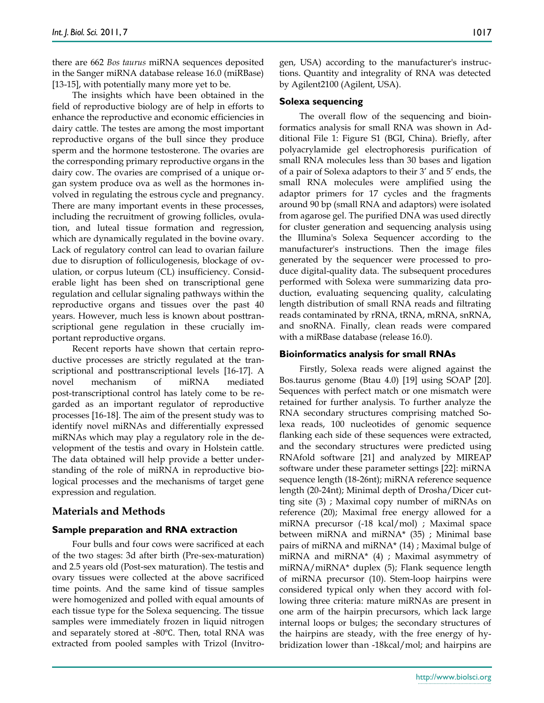there are 662 *Bos taurus* miRNA sequences deposited in the Sanger miRNA database release 16.0 (miRBase) [13-15], with potentially many more yet to be.

The insights which have been obtained in the field of reproductive biology are of help in efforts to enhance the reproductive and economic efficiencies in dairy cattle. The testes are among the most important reproductive organs of the bull since they produce sperm and the hormone testosterone. The ovaries are the corresponding primary reproductive organs in the dairy cow. The ovaries are comprised of a unique organ system produce ova as well as the hormones involved in regulating the estrous cycle and pregnancy. There are many important events in these processes, including the recruitment of growing follicles, ovulation, and luteal tissue formation and regression, which are dynamically regulated in the bovine ovary. Lack of regulatory control can lead to ovarian failure due to disruption of folliculogenesis, blockage of ovulation, or corpus luteum (CL) insufficiency. Considerable light has been shed on transcriptional gene regulation and cellular signaling pathways within the reproductive organs and tissues over the past 40 years. However, much less is known about posttranscriptional gene regulation in these crucially important reproductive organs.

Recent reports have shown that certain reproductive processes are strictly regulated at the transcriptional and posttranscriptional levels [16-17]. A novel mechanism of miRNA mediated post-transcriptional control has lately come to be regarded as an important regulator of reproductive processes [16-18]. The aim of the present study was to identify novel miRNAs and differentially expressed miRNAs which may play a regulatory role in the development of the testis and ovary in Holstein cattle. The data obtained will help provide a better understanding of the role of miRNA in reproductive biological processes and the mechanisms of target gene expression and regulation.

# **Materials and Methods**

## **Sample preparation and RNA extraction**

Four bulls and four cows were sacrificed at each of the two stages: 3d after birth (Pre-sex-maturation) and 2.5 years old (Post-sex maturation). The testis and ovary tissues were collected at the above sacrificed time points. And the same kind of tissue samples were homogenized and polled with equal amounts of each tissue type for the Solexa sequencing. The tissue samples were immediately frozen in liquid nitrogen and separately stored at -80℃. Then, total RNA was extracted from pooled samples with Trizol (Invitrogen, USA) according to the manufacturer's instructions. Quantity and integrality of RNA was detected by Agilent2100 (Agilent, USA).

## **Solexa sequencing**

The overall flow of the sequencing and bioinformatics analysis for small RNA was shown in Additional File 1: Figure S1 (BGI, China). Briefly, after polyacrylamide gel electrophoresis purification of small RNA molecules less than 30 bases and ligation of a pair of Solexa adaptors to their 3' and 5' ends, the small RNA molecules were amplified using the adaptor primers for 17 cycles and the fragments around 90 bp (small RNA and adaptors) were isolated from agarose gel. The purified DNA was used directly for cluster generation and sequencing analysis using the Illumina's Solexa Sequencer according to the manufacturer's instructions. Then the image files generated by the sequencer were processed to produce digital-quality data. The subsequent procedures performed with Solexa were summarizing data production, evaluating sequencing quality, calculating length distribution of small RNA reads and filtrating reads contaminated by rRNA, tRNA, mRNA, snRNA, and snoRNA. Finally, clean reads were compared with a miRBase database (release 16.0).

# **Bioinformatics analysis for small RNAs**

Firstly, Solexa reads were aligned against the Bos.taurus genome (Btau 4.0) [19] using SOAP [20]. Sequences with perfect match or one mismatch were retained for further analysis. To further analyze the RNA secondary structures comprising matched Solexa reads, 100 nucleotides of genomic sequence flanking each side of these sequences were extracted, and the secondary structures were predicted using RNAfold software [21] and analyzed by MIREAP software under these parameter settings [22]: miRNA sequence length (18-26nt); miRNA reference sequence length (20-24nt); Minimal depth of Drosha/Dicer cutting site (3) ; Maximal copy number of miRNAs on reference (20); Maximal free energy allowed for a miRNA precursor (-18 kcal/mol) ; Maximal space between miRNA and miRNA\* (35) ; Minimal base pairs of miRNA and miRNA\* (14) ; Maximal bulge of miRNA and miRNA\* (4) ; Maximal asymmetry of miRNA/miRNA\* duplex (5); Flank sequence length of miRNA precursor (10). Stem-loop hairpins were considered typical only when they accord with following three criteria: mature miRNAs are present in one arm of the hairpin precursors, which lack large internal loops or bulges; the secondary structures of the hairpins are steady, with the free energy of hybridization lower than -18kcal/mol; and hairpins are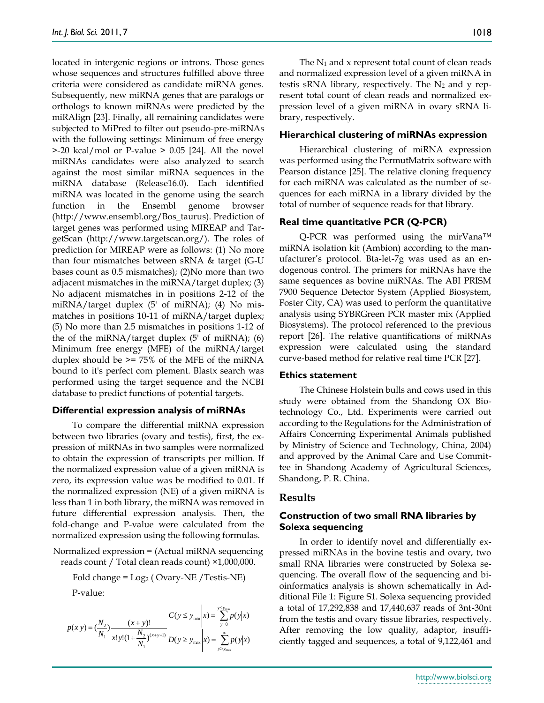located in intergenic regions or introns. Those genes whose sequences and structures fulfilled above three criteria were considered as candidate miRNA genes. Subsequently, new miRNA genes that are paralogs or orthologs to known miRNAs were predicted by the miRAlign [23]. Finally, all remaining candidates were subjected to MiPred to filter out pseudo-pre-miRNAs with the following settings: Minimum of free energy  $>$ -20 kcal/mol or P-value  $>$  0.05 [24]. All the novel miRNAs candidates were also analyzed to search against the most similar miRNA sequences in the miRNA database (Release16.0). Each identified miRNA was located in the genome using the search function in the Ensembl genome browser (http://www.ensembl.org/Bos\_taurus). Prediction of target genes was performed using MIREAP and TargetScan (http://www.targetscan.org/). The roles of prediction for MIREAP were as follows: (1) No more than four mismatches between sRNA & target (G-U bases count as 0.5 mismatches); (2)No more than two adjacent mismatches in the miRNA/target duplex; (3) No adjacent mismatches in in positions 2-12 of the miRNA/target duplex (5' of miRNA); (4) No mismatches in positions 10-11 of miRNA/target duplex; (5) No more than 2.5 mismatches in positions 1-12 of the of the miRNA/target duplex (5' of miRNA); (6) Minimum free energy (MFE) of the miRNA/target duplex should be >= 75% of the MFE of the miRNA bound to it's perfect com plement. Blastx search was performed using the target sequence and the NCBI database to predict functions of potential targets.

#### **Differential expression analysis of miRNAs**

To compare the differential miRNA expression between two libraries (ovary and testis), first, the expression of miRNAs in two samples were normalized to obtain the expression of transcripts per million. If the normalized expression value of a given miRNA is zero, its expression value was be modified to 0.01. If the normalized expression (NE) of a given miRNA is less than 1 in both library, the miRNA was removed in future differential expression analysis. Then, the fold-change and P-value were calculated from the normalized expression using the following formulas.

Normalized expression = (Actual miRNA sequencing reads count / Total clean reads count) ×1,000,000.

Fold change =  $Log_2$  ( Ovary-NE / Testis-NE)

 $\mathbf{I}$ 

P-value:

$$
p(x|y) = \left(\frac{N_2}{N_1}\right) \frac{(x+y)!}{x! \, y! \, (1 + \frac{N_2}{N_1})^{(x+y+1)}} \frac{C(y \le y_{\text{min}})}{D(y \ge y_{\text{max}})} \frac{y \le y_{\text{min}}}{x} = \sum_{y=y_{\text{max}}}^{\infty} p(y|x)
$$

The  $N_1$  and x represent total count of clean reads and normalized expression level of a given miRNA in testis sRNA library, respectively. The  $N_2$  and y represent total count of clean reads and normalized expression level of a given miRNA in ovary sRNA library, respectively.

#### **Hierarchical clustering of miRNAs expression**

Hierarchical clustering of miRNA expression was performed using the PermutMatrix software with Pearson distance [25]. The relative cloning frequency for each miRNA was calculated as the number of sequences for each miRNA in a library divided by the total of number of sequence reads for that library.

#### **Real time quantitative PCR (Q-PCR)**

Q-PCR was performed using the mirVana™ miRNA isolation kit (Ambion) according to the manufacturer's protocol. Bta-let-7g was used as an endogenous control. The primers for miRNAs have the same sequences as bovine miRNAs. The ABI PRISM 7900 Sequence Detector System (Applied Biosystem, Foster City, CA) was used to perform the quantitative analysis using SYBRGreen PCR master mix (Applied Biosystems). The protocol referenced to the previous report [26]. The relative quantifications of miRNAs expression were calculated using the standard curve-based method for relative real time PCR [27].

#### **Ethics statement**

The Chinese Holstein bulls and cows used in this study were obtained from the Shandong OX Biotechnology Co., Ltd. Experiments were carried out according to the Regulations for the Administration of Affairs Concerning Experimental Animals published by Ministry of Science and Technology, China, 2004) and approved by the Animal Care and Use Committee in Shandong Academy of Agricultural Sciences, Shandong, P. R. China.

## **Results**

## **Construction of two small RNA libraries by Solexa sequencing**

In order to identify novel and differentially expressed miRNAs in the bovine testis and ovary, two small RNA libraries were constructed by Solexa sequencing. The overall flow of the sequencing and bioinformatics analysis is shown schematically in Additional File 1: Figure S1. Solexa sequencing provided a total of 17,292,838 and 17,440,637 reads of 3nt-30nt from the testis and ovary tissue libraries, respectively. After removing the low quality, adaptor, insuffi ciently tagged and sequences, a total of 9,122,461 and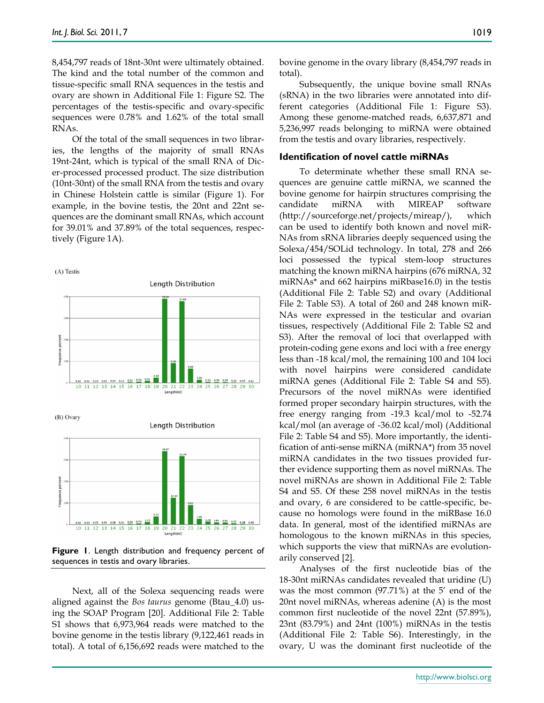8,454,797 reads of 18nt-30nt were ultimately obtained. The kind and the total number of the common and tissue-specific small RNA sequences in the testis and ovary are shown in Additional File 1: Figure S2. The percentages of the testis-specific and ovary-specific sequences were 0.78% and 1.62% of the total small RNAs.

Of the total of the small sequences in two libraries, the lengths of the majority of small RNAs 19nt-24nt, which is typical of the small RNA of Dicer-processed processed product. The size distribution (10nt-30nt) of the small RNA from the testis and ovary in Chinese Holstein cattle is similar (Figure 1). For example, in the bovine testis, the 20nt and 22nt sequences are the dominant small RNAs, which account for 39.01% and 37.89% of the total sequences, respectively (Figure 1A).

(A) Testis



**Figure 1**. Length distribution and frequency percent of sequences in testis and ovary libraries.

Next, all of the Solexa sequencing reads were aligned against the *Bos taurus* genome (Btau\_4.0) using the SOAP Program [20]. Additional File 2: Table S1 shows that 6,973,964 reads were matched to the bovine genome in the testis library (9,122,461 reads in total). A total of 6,156,692 reads were matched to the bovine genome in the ovary library (8,454,797 reads in total).

Subsequently, the unique bovine small RNAs (sRNA) in the two libraries were annotated into different categories (Additional File 1: Figure S3). Among these genome-matched reads, 6,637,871 and 5,236,997 reads belonging to miRNA were obtained from the testis and ovary libraries, respectively.

#### **Identification of novel cattle miRNAs**

To determinate whether these small RNA sequences are genuine cattle miRNA, we scanned the bovine genome for hairpin structures comprising the candidate miRNA with MIREAP software (http://sourceforge.net/projects/mireap/), which can be used to identify both known and novel miR-NAs from sRNA libraries deeply sequenced using the Solexa/454/SOLid technology. In total, 278 and 266 loci possessed the typical stem-loop structures matching the known miRNA hairpins (676 miRNA, 32 miRNAs\* and 662 hairpins miRbase16.0) in the testis (Additional File 2: Table S2) and ovary (Additional File 2: Table S3). A total of 260 and 248 known miR-NAs were expressed in the testicular and ovarian tissues, respectively (Additional File 2: Table S2 and S3). After the removal of loci that overlapped with protein-coding gene exons and loci with a free energy less than -18 kcal/mol, the remaining 100 and 104 loci with novel hairpins were considered candidate miRNA genes (Additional File 2: Table S4 and S5). Precursors of the novel miRNAs were identified formed proper secondary hairpin structures, with the free energy ranging from -19.3 kcal/mol to -52.74 kcal/mol (an average of -36.02 kcal/mol) (Additional File 2: Table S4 and S5). More importantly, the identification of anti-sense miRNA (miRNA\*) from 35 novel miRNA candidates in the two tissues provided further evidence supporting them as novel miRNAs. The novel miRNAs are shown in Additional File 2: Table S4 and S5. Of these 258 novel miRNAs in the testis and ovary, 6 are considered to be cattle-specific, because no homologs were found in the miRBase 16.0 data. In general, most of the identified miRNAs are homologous to the known miRNAs in this species, which supports the view that miRNAs are evolutionarily conserved [2].

Analyses of the first nucleotide bias of the 18-30nt miRNAs candidates revealed that uridine (U) was the most common (97.71%) at the 5' end of the 20nt novel miRNAs, whereas adenine (A) is the most common first nucleotide of the novel 22nt (57.89%), 23nt (83.79%) and 24nt (100%) miRNAs in the testis (Additional File 2: Table S6). Interestingly, in the ovary, U was the dominant first nucleotide of the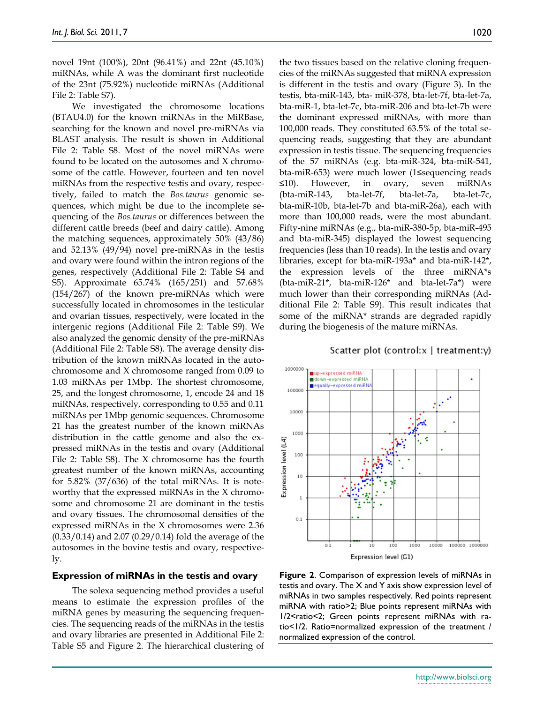novel 19nt (100%), 20nt (96.41%) and 22nt (45.10%) miRNAs, while A was the dominant first nucleotide of the 23nt (75.92%) nucleotide miRNAs (Additional File 2: Table S7).

We investigated the chromosome locations (BTAU4.0) for the known miRNAs in the MiRBase, searching for the known and novel pre-miRNAs via BLAST analysis. The result is shown in Additional File 2: Table S8. Most of the novel miRNAs were found to be located on the autosomes and X chromosome of the cattle. However, fourteen and ten novel miRNAs from the respective testis and ovary, respectively, failed to match the *Bos.taurus* genomic sequences, which might be due to the incomplete sequencing of the *Bos.taurus* or differences between the different cattle breeds (beef and dairy cattle). Among the matching sequences, approximately 50% (43/86) and 52.13% (49/94) novel pre-miRNAs in the testis and ovary were found within the intron regions of the genes, respectively (Additional File 2: Table S4 and S5). Approximate 65.74% (165/251) and 57.68% (154/267) of the known pre-miRNAs which were successfully located in chromosomes in the testicular and ovarian tissues, respectively, were located in the intergenic regions (Additional File 2: Table S9). We also analyzed the genomic density of the pre-miRNAs (Additional File 2: Table S8). The average density distribution of the known miRNAs located in the autochromosome and X chromosome ranged from 0.09 to 1.03 miRNAs per 1Mbp. The shortest chromosome, 25, and the longest chromosome, 1, encode 24 and 18 miRNAs, respectively, corresponding to 0.55 and 0.11 miRNAs per 1Mbp genomic sequences. Chromosome 21 has the greatest number of the known miRNAs distribution in the cattle genome and also the expressed miRNAs in the testis and ovary (Additional File 2: Table S8). The X chromosome has the fourth greatest number of the known miRNAs, accounting for 5.82% (37/636) of the total miRNAs. It is noteworthy that the expressed miRNAs in the X chromosome and chromosome 21 are dominant in the testis and ovary tissues. The chromosomal densities of the expressed miRNAs in the X chromosomes were 2.36 (0.33/0.14) and 2.07 (0.29/0.14) fold the average of the autosomes in the bovine testis and ovary, respectively.

#### **Expression of miRNAs in the testis and ovary**

The solexa sequencing method provides a useful means to estimate the expression profiles of the miRNA genes by measuring the sequencing frequencies. The sequencing reads of the miRNAs in the testis and ovary libraries are presented in Additional File 2: Table S5 and Figure 2. The hierarchical clustering of the two tissues based on the relative cloning frequencies of the miRNAs suggested that miRNA expression is different in the testis and ovary (Figure 3). In the testis, bta-miR-143, bta- miR-378, bta-let-7f, bta-let-7a, bta-miR-1, bta-let-7c, bta-miR-206 and bta-let-7b were the dominant expressed miRNAs, with more than 100,000 reads. They constituted 63.5% of the total sequencing reads, suggesting that they are abundant expression in testis tissue. The sequencing frequencies of the 57 miRNAs (e.g. bta-miR-324, bta-miR-541, bta-miR-653) were much lower (1≤sequencing reads ≤10). However, in ovary, seven miRNAs (bta-miR-143, bta-let-7f, bta-let-7a, bta-let-7c, bta-miR-10b, bta-let-7b and bta-miR-26a), each with more than 100,000 reads, were the most abundant. Fifty-nine miRNAs (e.g., bta-miR-380-5p, bta-miR-495 and bta-miR-345) displayed the lowest sequencing frequencies (less than 10 reads). In the testis and ovary libraries, except for bta-miR-193a\* and bta-miR-142\*, the expression levels of the three miRNA\*s (bta-miR-21<sup>\*</sup>, bta-miR-126<sup>\*</sup> and bta-let-7a<sup>\*</sup>) were much lower than their corresponding miRNAs (Additional File 2: Table S9). This result indicates that some of the miRNA\* strands are degraded rapidly during the biogenesis of the mature miRNAs.

## Scatter plot (control:x | treatment:y)



**Figure 2**. Comparison of expression levels of miRNAs in testis and ovary. The X and Y axis show expression level of miRNAs in two samples respectively. Red points represent miRNA with ratio>2; Blue points represent miRNAs with 1/2<ratio<2; Green points represent miRNAs with ratio<1/2. Ratio=normalized expression of the treatment / normalized expression of the control.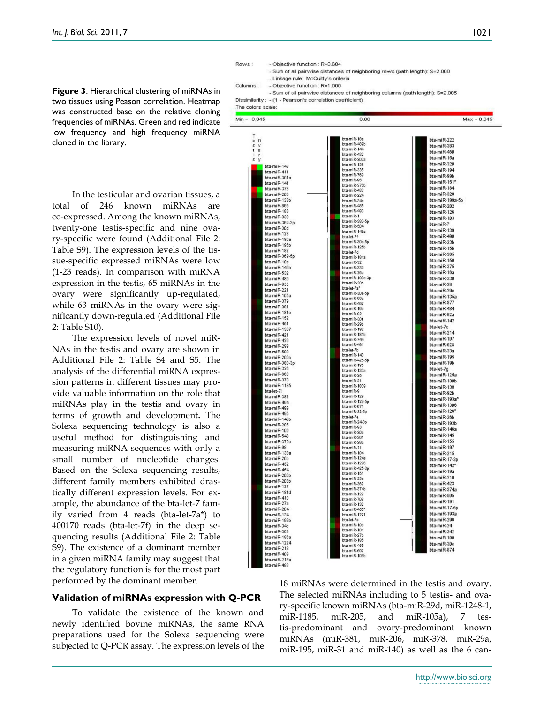

**Figure 3**. Hierarchical clustering of miRNAs in two tissues using Peason correlation. Heatmap was constructed base on the relative cloning frequencies of miRNAs. Green and red indicate low frequency and high frequency miRNA cloned in the library.

In the testicular and ovarian tissues, a total of 246 known miRNAs are co-expressed. Among the known miRNAs, twenty-one testis-specific and nine ovary-specific were found (Additional File 2: Table S9). The expression levels of the tissue-specific expressed miRNAs were low (1-23 reads). In comparison with miRNA expression in the testis, 65 miRNAs in the ovary were significantly up-regulated, while 63 miRNAs in the ovary were significantly down-regulated (Additional File 2: Table S10).

The expression levels of novel miR-NAs in the testis and ovary are shown in Additional File 2: Table S4 and S5. The analysis of the differential miRNA expression patterns in different tissues may provide valuable information on the role that miRNAs play in the testis and ovary in terms of growth and development**.** The Solexa sequencing technology is also a useful method for distinguishing and measuring miRNA sequences with only a small number of nucleotide changes. Based on the Solexa sequencing results, different family members exhibited drastically different expression levels. For example, the abundance of the bta-let-7 family varied from 4 reads (bta-let-7a\*) to 400170 reads (bta-let-7f) in the deep sequencing results (Additional File 2: Table S9). The existence of a dominant member in a given miRNA family may suggest that the regulatory function is for the most part performed by the dominant member.

## **Validation of miRNAs expression with Q-PCR**

To validate the existence of the known and newly identified bovine miRNAs, the same RNA preparations used for the Solexa sequencing were subjected to Q-PCR assay. The expression levels of the 18 miRNAs were determined in the testis and ovary. The selected miRNAs including to 5 testis- and ovary-specific known miRNAs (bta-miR-29d, miR-1248-1, miR-1185, miR-205, and miR-105a), 7 testis-predominant and ovary-predominant known miRNAs (miR-381, miR-206, miR-378, miR-29a, miR-195, miR-31 and miR-140) as well as the 6 can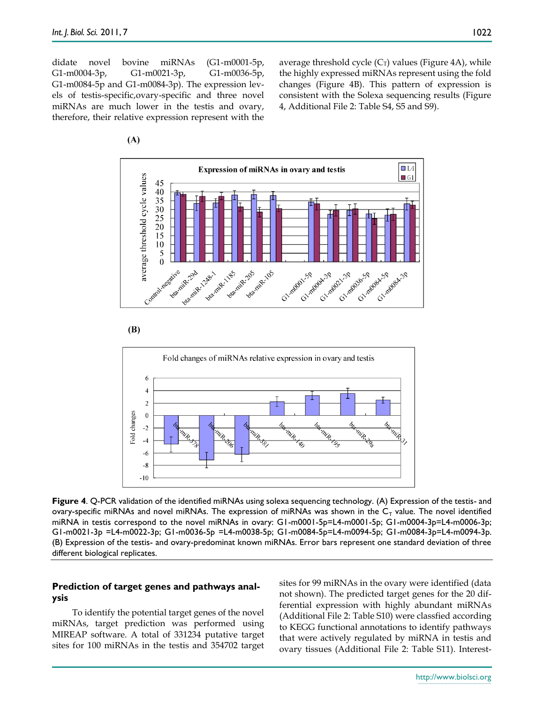didate novel bovine miRNAs (G1-m0001-5p, G1-m0004-3p, G1-m0021-3p, G1-m0036-5p, G1-m0084-5p and G1-m0084-3p). The expression levels of testis-specific,ovary-specific and three novel miRNAs are much lower in the testis and ovary, therefore, their relative expression represent with the

 $(A)$ 

average threshold cycle  $(C_T)$  values (Figure 4A), while the highly expressed miRNAs represent using the fold changes (Figure 4B). This pattern of expression is consistent with the Solexa sequencing results (Figure 4, Additional File 2: Table S4, S5 and S9).







**Figure 4**. Q-PCR validation of the identified miRNAs using solexa sequencing technology. (A) Expression of the testis- and ovary-specific miRNAs and novel miRNAs. The expression of miRNAs was shown in the  $C_T$  value. The novel identified miRNA in testis correspond to the novel miRNAs in ovary: G1-m0001-5p=L4-m0001-5p; G1-m0004-3p=L4-m0006-3p; G1-m0021-3p =L4-m0022-3p; G1-m0036-5p =L4-m0038-5p; G1-m0084-5p=L4-m0094-5p; G1-m0084-3p=L4-m0094-3p. (B) Expression of the testis- and ovary-predominat known miRNAs. Error bars represent one standard deviation of three different biological replicates.

## **Prediction of target genes and pathways analysis**

To identify the potential target genes of the novel miRNAs, target prediction was performed using MIREAP software. A total of 331234 putative target sites for 100 miRNAs in the testis and 354702 target sites for 99 miRNAs in the ovary were identified (data not shown). The predicted target genes for the 20 differential expression with highly abundant miRNAs (Additional File 2: Table S10) were classfied according to KEGG functional annotations to identify pathways that were actively regulated by miRNA in testis and ovary tissues (Additional File 2: Table S11). Interest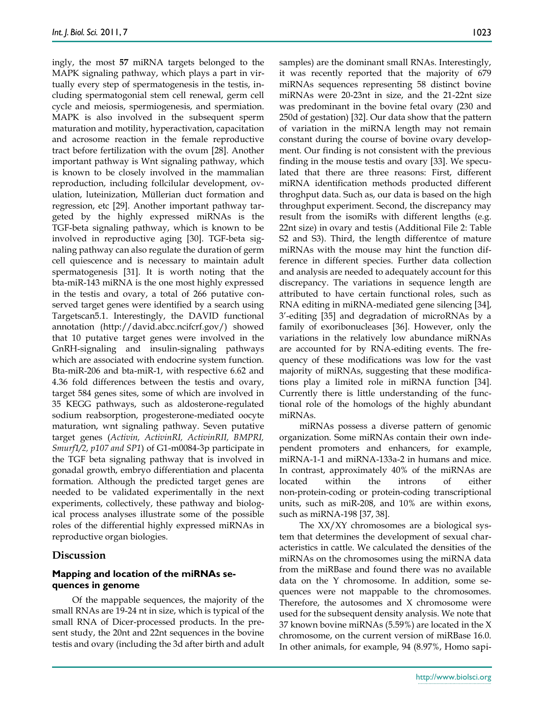ingly, the most **57** miRNA targets belonged to the MAPK signaling pathway, which plays a part in virtually every step of spermatogenesis in the testis, including spermatogonial stem cell renewal, germ cell cycle and meiosis, spermiogenesis, and spermiation. MAPK is also involved in the subsequent sperm maturation and motility, hyperactivation, capacitation and acrosome reaction in the female reproductive tract before fertilization with the ovum [28]. Another important pathway is Wnt signaling pathway, which is known to be closely involved in the mammalian reproduction, including follcilular development, ovulation, luteinization, Müllerian duct formation and regression, etc [29]. Another important pathway targeted by the highly expressed miRNAs is the TGF-beta signaling pathway, which is known to be involved in reproductive aging [30]. TGF-beta signaling pathway can also regulate the duration of germ cell quiescence and is necessary to maintain adult spermatogenesis [31]. It is worth noting that the bta-miR-143 miRNA is the one most highly expressed in the testis and ovary, a total of 266 putative conserved target genes were identified by a search using Targetscan5.1. Interestingly, the DAVID functional annotation (http://david.abcc.ncifcrf.gov/) showed that 10 putative target genes were involved in the GnRH-signaling and insulin-signaling pathways which are associated with endocrine system function. Bta-miR-206 and bta-miR-1, with respective 6.62 and 4.36 fold differences between the testis and ovary, target 584 genes sites, some of which are involved in 35 KEGG pathways, such as aldosterone-regulated sodium reabsorption, progesterone-mediated oocyte maturation, wnt signaling pathway. Seven putative target genes (*Activin, ActivinRI, ActivinRII, BMPRI, Smurf1/2, p107 and SP1*) of G1-m0084-3p participate in the TGF beta signaling pathway that is involved in gonadal growth, embryo differentiation and placenta formation. Although the predicted target genes are needed to be validated experimentally in the next experiments, collectively, these pathway and biological process analyses illustrate some of the possible roles of the differential highly expressed miRNAs in reproductive organ biologies.

## **Discussion**

## **Mapping and location of the miRNAs sequences in genome**

Of the mappable sequences, the majority of the small RNAs are 19-24 nt in size, which is typical of the small RNA of Dicer-processed products. In the present study, the 20nt and 22nt sequences in the bovine testis and ovary (including the 3d after birth and adult samples) are the dominant small RNAs. Interestingly, it was recently reported that the majority of 679 miRNAs sequences representing 58 distinct bovine miRNAs were 20-23nt in size, and the 21-22nt size was predominant in the bovine fetal ovary (230 and 250d of gestation) [32]. Our data show that the pattern of variation in the miRNA length may not remain constant during the course of bovine ovary development. Our finding is not consistent with the previous finding in the mouse testis and ovary [33]. We speculated that there are three reasons: First, different miRNA identification methods producted different throghput data. Such as, our data is based on the high throughput experiment. Second, the discrepancy may result from the isomiRs with different lengths (e.g. 22nt size) in ovary and testis (Additional File 2: Table S2 and S3). Third, the length differentce of mature miRNAs with the mouse may hint the function difference in different species. Further data collection and analysis are needed to adequately account for this discrepancy. The variations in sequence length are attributed to have certain functional roles, such as RNA editing in miRNA-mediated gene silencing [34], 3'-editing [35] and degradation of microRNAs by a family of exoribonucleases [36]. However, only the variations in the relatively low abundance miRNAs are accounted for by RNA-editing events. The frequency of these modifications was low for the vast majority of miRNAs, suggesting that these modifications play a limited role in miRNA function [34]. Currently there is little understanding of the functional role of the homologs of the highly abundant miRNAs.

miRNAs possess a diverse pattern of genomic organization. Some miRNAs contain their own independent promoters and enhancers, for example, miRNA-1-1 and miRNA-133a-2 in humans and mice. In contrast, approximately 40% of the miRNAs are located within the introns of either non-protein-coding or protein-coding transcriptional units, such as miR-208, and 10% are within exons, such as miRNA-198 [37, 38].

The XX/XY chromosomes are a biological system that determines the development of sexual characteristics in cattle. We calculated the densities of the miRNAs on the chromosomes using the miRNA data from the miRBase and found there was no available data on the Y chromosome. In addition, some sequences were not mappable to the chromosomes. Therefore, the autosomes and  $X$  chromosome were used for the subsequent density analysis. We note that 37 known bovine miRNAs (5.59%) are located in the X chromosome, on the current version of miRBase 16.0. In other animals, for example, 94 (8.97%, Homo sapi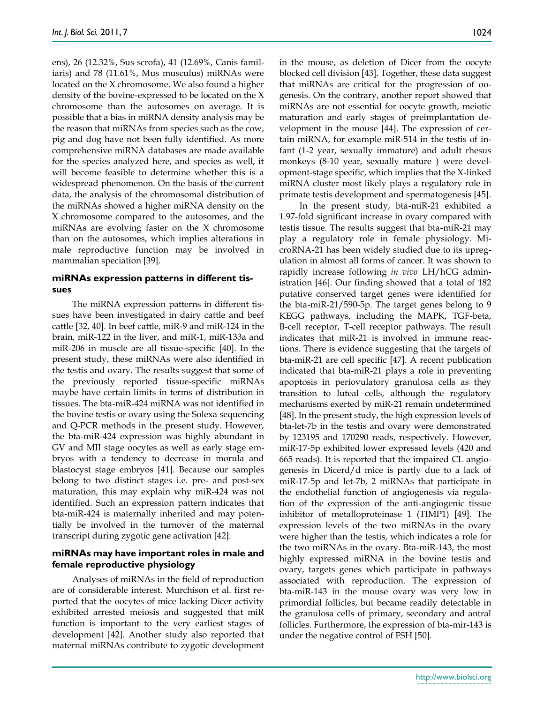ens), 26 (12.32%, Sus scrofa), 41 (12.69%, Canis familiaris) and 78 (11.61%, Mus musculus) miRNAs were located on the X chromosome. We also found a higher density of the bovine-expressed to be located on the X chromosome than the autosomes on average. It is possible that a bias in miRNA density analysis may be the reason that miRNAs from species such as the cow, pig and dog have not been fully identified. As more comprehensive miRNA databases are made available for the species analyzed here, and species as well, it will become feasible to determine whether this is a widespread phenomenon. On the basis of the current data, the analysis of the chromosomal distribution of the miRNAs showed a higher miRNA density on the X chromosome compared to the autosomes, and the miRNAs are evolving faster on the X chromosome than on the autosomes, which implies alterations in male reproductive function may be involved in mammalian speciation [39].

## **miRNAs expression patterns in different tissues**

The miRNA expression patterns in different tissues have been investigated in dairy cattle and beef cattle [32, 40]. In beef cattle, miR-9 and miR-124 in the brain, miR-122 in the liver, and miR-1, miR-133a and miR-206 in muscle are all tissue-specific [40]. In the present study, these miRNAs were also identified in the testis and ovary. The results suggest that some of the previously reported tissue-specific miRNAs maybe have certain limits in terms of distribution in tissues. The bta-miR-424 miRNA was not identified in the bovine testis or ovary using the Solexa sequencing and Q-PCR methods in the present study. However, the bta-miR-424 expression was highly abundant in GV and MII stage oocytes as well as early stage embryos with a tendency to decrease in morula and blastocyst stage embryos [41]. Because our samples belong to two distinct stages i.e. pre- and post-sex maturation, this may explain why miR-424 was not identified. Such an expression pattern indicates that bta-miR-424 is maternally inherited and may potentially be involved in the turnover of the maternal transcript during zygotic gene activation [42].

# **miRNAs may have important roles in male and female reproductive physiology**

Analyses of miRNAs in the field of reproduction are of considerable interest. Murchison et al. first reported that the oocytes of mice lacking Dicer activity exhibited arrested meiosis and suggested that miR function is important to the very earliest stages of development [42]. Another study also reported that maternal miRNAs contribute to zygotic development in the mouse, as deletion of Dicer from the oocyte blocked cell division [43]. Together, these data suggest that miRNAs are critical for the progression of oogenesis. On the contrary, another report showed that miRNAs are not essential for oocyte growth, meiotic maturation and early stages of preimplantation development in the mouse [44]. The expression of certain miRNA, for example miR-514 in the testis of infant (1-2 year, sexually immature) and adult rhesus monkeys (8-10 year, sexually mature ) were development-stage specific, which implies that the X-linked miRNA cluster most likely plays a regulatory role in primate testis development and spermatogenesis [45].

In the present study, bta-miR-21 exhibited a 1.97-fold significant increase in ovary compared with testis tissue. The results suggest that bta-miR-21 may play a regulatory role in female physiology. MicroRNA-21 has been widely studied due to its upregulation in almost all forms of cancer. It was shown to rapidly increase following *in vivo* LH/hCG administration [46]. Our finding showed that a total of 182 putative conserved target genes were identified for the bta-miR-21/590-5p. The target genes belong to 9 KEGG pathways, including the MAPK, TGF-beta, B-cell receptor, T-cell receptor pathways. The result indicates that miR-21 is involved in immune reactions. There is evidence suggesting that the targets of bta-miR-21 are cell specific [47]. A recent publication indicated that bta-miR-21 plays a role in preventing apoptosis in periovulatory granulosa cells as they transition to luteal cells, although the regulatory mechanisms exerted by miR-21 remain undetermined [48]. In the present study, the high expression levels of bta-let-7b in the testis and ovary were demonstrated by 123195 and 170290 reads, respectively. However, miR-17-5p exhibited lower expressed levels (420 and 665 reads). It is reported that the impaired CL angiogenesis in Dicerd/d mice is partly due to a lack of miR-17-5p and let-7b, 2 miRNAs that participate in the endothelial function of angiogenesis via regulation of the expression of the anti-angiogenic tissue inhibitor of metalloproteinase 1 (TIMP1) [49]. The expression levels of the two miRNAs in the ovary were higher than the testis, which indicates a role for the two miRNAs in the ovary. Bta-miR-143, the most highly expressed miRNA in the bovine testis and ovary, targets genes which participate in pathways associated with reproduction. The expression of bta-miR-143 in the mouse ovary was very low in primordial follicles, but became readily detectable in the granulosa cells of primary, secondary and antral follicles. Furthermore, the expression of bta-mir-143 is under the negative control of FSH [50].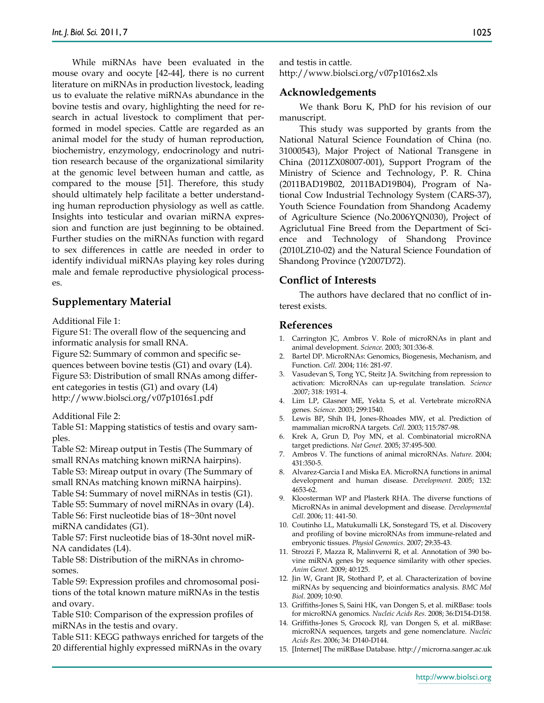While miRNAs have been evaluated in the mouse ovary and oocyte [42-44], there is no current literature on miRNAs in production livestock, leading us to evaluate the relative miRNAs abundance in the bovine testis and ovary, highlighting the need for research in actual livestock to compliment that performed in model species. Cattle are regarded as an animal model for the study of human reproduction, biochemistry, enzymology, endocrinology and nutrition research because of the organizational similarity at the genomic level between human and cattle, as compared to the mouse [51]. Therefore, this study should ultimately help facilitate a better understanding human reproduction physiology as well as cattle. Insights into testicular and ovarian miRNA expression and function are just beginning to be obtained. Further studies on the miRNAs function with regard to sex differences in cattle are needed in order to identify individual miRNAs playing key roles during male and female reproductive physiological processes.

# **Supplementary Material**

Additional File 1:

Figure S1: The overall flow of the sequencing and informatic analysis for small RNA.

Figure S2: Summary of common and specific sequences between bovine testis (G1) and ovary (L4). Figure S3: Distribution of small RNAs among different categories in testis (G1) and ovary (L4) http://www.biolsci.org/v07p1016s1.pdf

Additional File 2:

Table S1: Mapping statistics of testis and ovary samples.

Table S2: Mireap output in Testis (The Summary of small RNAs matching known miRNA hairpins).

Table S3: Mireap output in ovary (The Summary of small RNAs matching known miRNA hairpins).

Table S4: Summary of novel miRNAs in testis (G1).

Table S5: Summary of novel miRNAs in ovary (L4). Table S6: First nucleotide bias of 18~30nt novel

miRNA candidates (G1).

Table S7: First nucleotide bias of 18-30nt novel miR-NA candidates (L4).

Table S8: Distribution of the miRNAs in chromosomes.

Table S9: Expression profiles and chromosomal positions of the total known mature miRNAs in the testis and ovary.

Table S10: Comparison of the expression profiles of miRNAs in the testis and ovary.

Table S11: KEGG pathways enriched for targets of the 20 differential highly expressed miRNAs in the ovary

and testis in cattle. http://www.biolsci.org/v07p1016s2.xls

## **Acknowledgements**

We thank Boru K, PhD for his revision of our manuscript.

This study was supported by grants from the National Natural Science Foundation of China (no. 31000543), Major Project of National Transgene in China (2011ZX08007-001), Support Program of the Ministry of Science and Technology, P. R. China (2011BAD19B02, 2011BAD19B04), Program of National Cow Industrial Technology System (CARS-37), Youth Science Foundation from Shandong Academy of Agriculture Science (No.2006YQN030), Project of Agriclutual Fine Breed from the Department of Science and Technology of Shandong Province (2010LZ10-02) and the Natural Science Foundation of Shandong Province (Y2007D72).

## **Conflict of Interests**

The authors have declared that no conflict of interest exists.

## **References**

- 1. Carrington JC, Ambros V. Role of microRNAs in plant and animal development. *Science.* 2003; 301:336-8.
- 2. Bartel DP. MicroRNAs: Genomics, Biogenesis, Mechanism, and Function. *Cell.* 2004; 116: 281-97.
- 3. Vasudevan S, Tong YC, Steitz JA. Switching from repression to activation: MicroRNAs can up-regulate translation. *Science* .2007; 318: 1931-4.
- 4. Lim LP, Glasner ME, Yekta S, et al. Vertebrate microRNA genes. *Science.* 2003; 299:1540.
- 5. Lewis BP, Shih IH, Jones-Rhoades MW, et al. Prediction of mammalian microRNA targets. *Cell.* 2003; 115:787-98.
- 6. Krek A, Grun D, Poy MN, et al. Combinatorial microRNA target predictions. *Nat Genet.* 2005; 37:495-500.
- 7. Ambros V. The functions of animal microRNAs. *Nature.* 2004; 431:350-5.
- 8. Alvarez-Garcia I and Miska EA. MicroRNA functions in animal development and human disease. *Development.* 2005; 132: 4653-62.
- 9. Kloosterman WP and Plasterk RHA. The diverse functions of MicroRNAs in animal development and disease. *Developmental Cell.* 2006; 11: 441-50.
- 10. Coutinho LL, Matukumalli LK, Sonstegard TS, et al*.* Discovery and profiling of bovine microRNAs from immune-related and embryonic tissues. *Physiol Genomics.* 2007; 29:35-43.
- 11. Strozzi F, Mazza R, Malinverni R, et al. Annotation of 390 bovine miRNA genes by sequence similarity with other species. *Anim Genet.* 2009; 40:125.
- 12. Jin W, Grant JR, Stothard P, et al. Characterization of bovine miRNAs by sequencing and bioinformatics analysis. *BMC Mol Biol.* 2009; 10:90.
- 13. Griffiths-Jones S, Saini HK, van Dongen S, et al. miRBase: tools for microRNA genomics. *Nucleic Acids Res*. 2008; 36:D154-D158.
- 14. Griffiths-Jones S, Grocock RJ, van Dongen S, et al*.* miRBase: microRNA sequences, targets and gene nomenclature. *Nucleic Acids Res.* 2006; 34: D140-D144.
- 15. [Internet] The miRBase Database. http://microrna.sanger.ac.uk